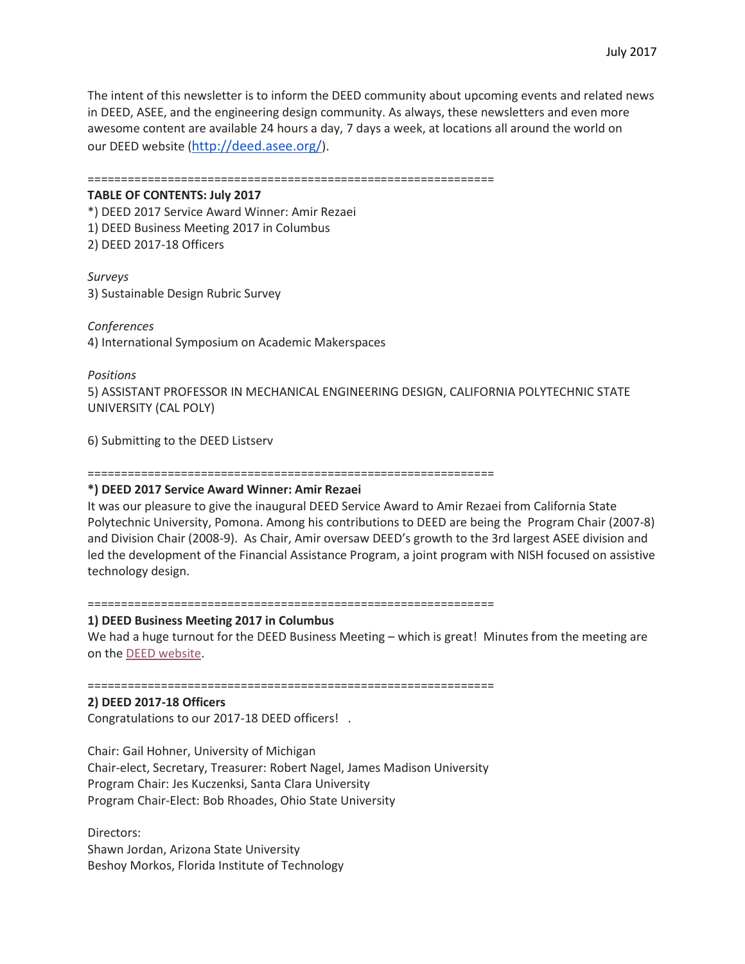The intent of this newsletter is to inform the DEED community about upcoming events and related news in DEED, ASEE, and the engineering design community. As always, these newsletters and even more awesome content are available 24 hours a day, 7 days a week, at locations all around the world on our DEED website (<http://deed.asee.org/>).

=============================================================

### **TABLE OF CONTENTS: July 2017**

\*) DEED 2017 Service Award Winner: Amir Rezaei 1) DEED Business Meeting 2017 in Columbus 2) DEED 2017-18 Officers

### *Surveys*

3) Sustainable Design Rubric Survey

*Conferences* 4) International Symposium on Academic Makerspaces

### *Positions*

5) ASSISTANT PROFESSOR IN MECHANICAL ENGINEERING DESIGN, CALIFORNIA POLYTECHNIC STATE UNIVERSITY (CAL POLY)

6) Submitting to the DEED Listserv

=============================================================

# **\*) DEED 2017 Service Award Winner: Amir Rezaei**

It was our pleasure to give the inaugural DEED Service Award to Amir Rezaei from California State Polytechnic University, Pomona. Among his contributions to DEED are being the Program Chair (2007-8) and Division Chair (2008-9). As Chair, Amir oversaw DEED's growth to the 3rd largest ASEE division and led the development of the Financial Assistance Program, a joint program with NISH focused on assistive technology design.

=============================================================

# **1) DEED Business Meeting 2017 in Columbus**

We had a huge turnout for the DEED Business Meeting – which is great! Minutes from the meeting are on the [DEED website.](http://deed.asee.org/index.php/minutes/)

=============================================================

## **2) DEED 2017-18 Officers**

Congratulations to our 2017-18 DEED officers! .

Chair: Gail Hohner, University of Michigan Chair-elect, Secretary, Treasurer: Robert Nagel, James Madison University Program Chair: Jes Kuczenksi, Santa Clara University Program Chair-Elect: Bob Rhoades, Ohio State University

Directors: Shawn Jordan, Arizona State University Beshoy Morkos, Florida Institute of Technology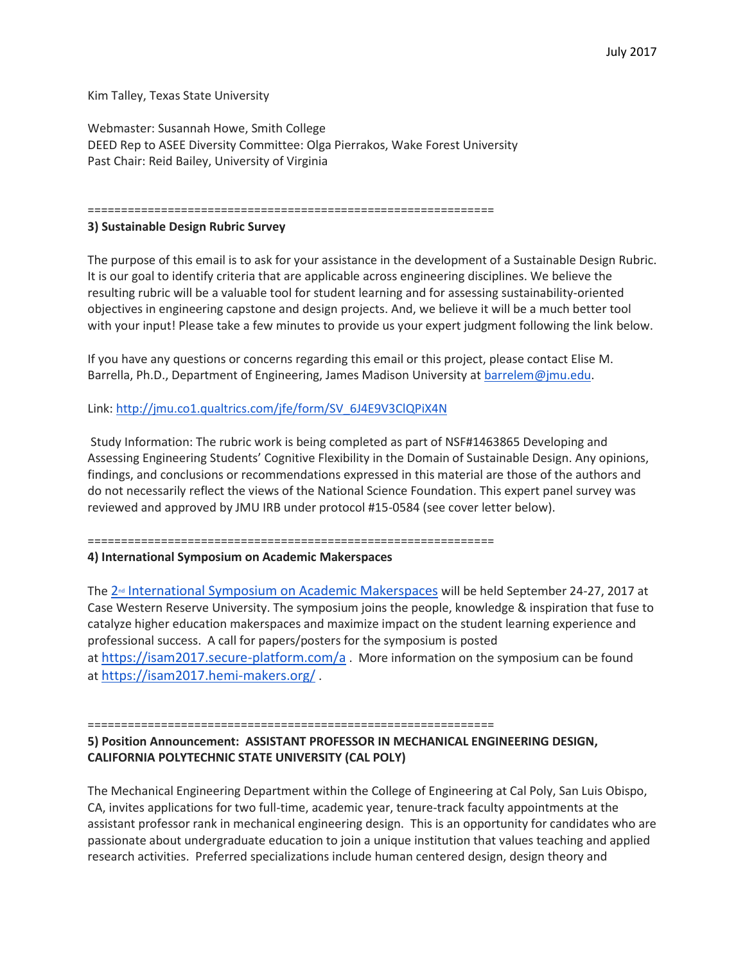Kim Talley, Texas State University

Webmaster: Susannah Howe, Smith College DEED Rep to ASEE Diversity Committee: Olga Pierrakos, Wake Forest University Past Chair: Reid Bailey, University of Virginia

=============================================================

# **3) Sustainable Design Rubric Survey**

The purpose of this email is to ask for your assistance in the development of a Sustainable Design Rubric. It is our goal to identify criteria that are applicable across engineering disciplines. We believe the resulting rubric will be a valuable tool for student learning and for assessing sustainability-oriented objectives in engineering capstone and design projects. And, we believe it will be a much better tool with your input! Please take a few minutes to provide us your expert judgment following the link below.

If you have any questions or concerns regarding this email or this project, please contact Elise M. Barrella, Ph.D., Department of Engineering, James Madison University at [barrelem@jmu.edu.](mailto:barrelem@jmu.edu)

Link: [http://jmu.co1.qualtrics.com/jfe/form/SV\\_6J4E9V3ClQPiX4N](http://jmu.co1.qualtrics.com/jfe/form/SV_6J4E9V3ClQPiX4N)

Study Information: The rubric work is being completed as part of NSF#1463865 Developing and Assessing Engineering Students' Cognitive Flexibility in the Domain of Sustainable Design. Any opinions, findings, and conclusions or recommendations expressed in this material are those of the authors and do not necessarily reflect the views of the National Science Foundation. This expert panel survey was reviewed and approved by JMU IRB under protocol #15-0584 (see cover letter below).

=============================================================

**4) International Symposium on Academic Makerspaces**

The 2<sup><sup>nd</sup> [International Symposium on Academic Makerspaces](https://isam2017.hemi-makers.org/) will be held September 24-27, 2017 at</sup> Case Western Reserve University. The symposium joins the people, knowledge & inspiration that fuse to catalyze higher education makerspaces and maximize impact on the student learning experience and professional success. A call for papers/posters for the symposium is posted at <https://isam2017.secure-platform.com/a> . More information on the symposium can be found at <https://isam2017.hemi-makers.org/> .

=============================================================

# **5) Position Announcement: ASSISTANT PROFESSOR IN MECHANICAL ENGINEERING DESIGN, CALIFORNIA POLYTECHNIC STATE UNIVERSITY (CAL POLY)**

The Mechanical Engineering Department within the College of Engineering at Cal Poly, San Luis Obispo, CA, invites applications for two full-time, academic year, tenure-track faculty appointments at the assistant professor rank in mechanical engineering design. This is an opportunity for candidates who are passionate about undergraduate education to join a unique institution that values teaching and applied research activities. Preferred specializations include human centered design, design theory and